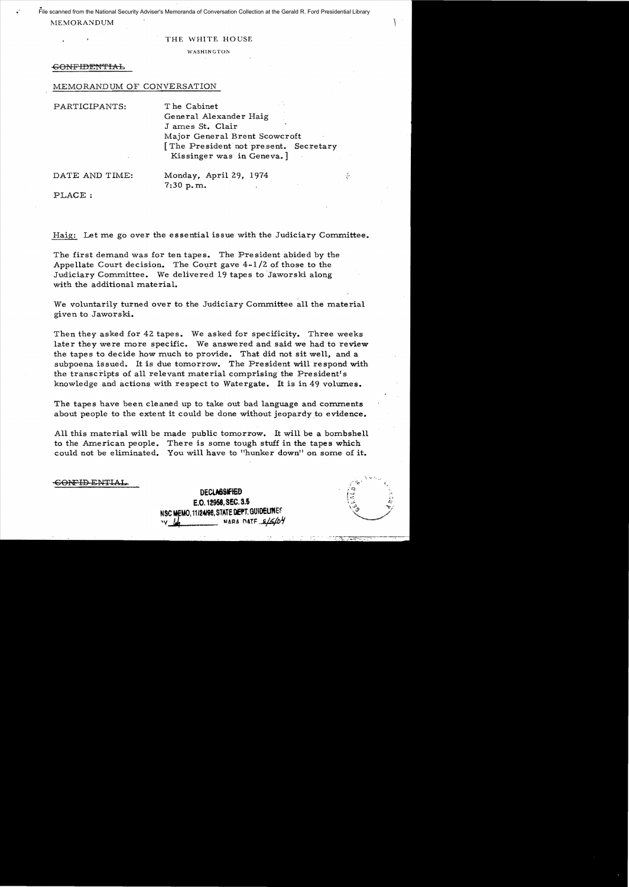**MEMORANDUM** File scanned from the National Security Adviser's Memoranda of Conversation Collection at the Gerald R. Ford Presidential Library

### THE WHITE HOUSE

WASHINGTON

## -60NFIDENTIAb

## MEMORANDUM OF CONVERSATION

PARTICIPANTS: T he Cabinet General Alexander Haig J ames St. Clair Major General Brent Scowcroft [The President not present. Secretary Kissinger was in Geneva.] DATE AND TIME: Monday, April 29, 1974

7:30 p.m..

PLACE:

Haig: Let me go over the essential issue with the Judiciary Committee.

The first demand was for ten tapes. The President abided by the Appellate Court decision. The Court gave  $4-1/2$  of those to the Judiciary Committee. We delivered 19 tapes to Jaworski along with the additional material.

We voluntarily turned over to the Judiciary Committee all the material given to Jaworski.

Then they asked for 42 tapes. We asked for specificity. Three weeks later they were more specific. We answered and said we had to review the tapes to decide how much to provide. That did not sit well, and a subpoena issued. It is due tomorrow. The President will respond with the transcripts of all relevant material comprising the President's knowledge and actions with respect to Watergate. It is in 49 volumes.

The tapes have been cleaned up to take out bad language and comments about people to the extent it could be done without jeopardy to evidence.

All this material will be made public tomorrow. It will be a bombshell to the American people. There is some tough stuff in the tapes which could not be eliminated. You will have to "hunker down" on some of it.

CONFID ENTIAL

DECLASSIFIED E.O. 12958, SEC. 3.5 NSC MEMO, 11/24/98. STATE DEPT. GUIDELINES **WARA DATF** *-&15/04* 

.....J ).:  $\sigma$  . The set of  $\Omega$ 

÷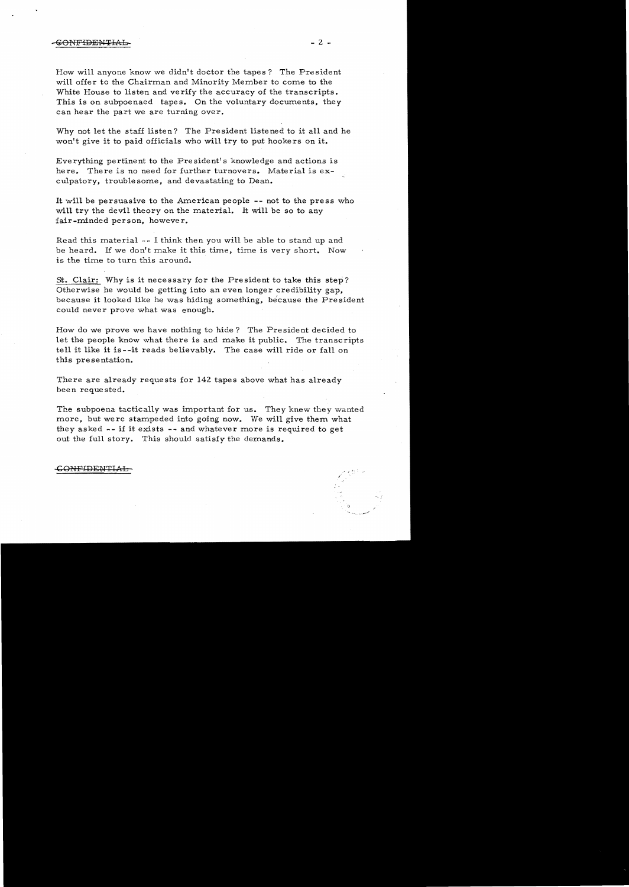How will anyone know we didn't doctor the tapes? The President will offer to the Chairman and Minority Member to come to the White House to listen and verify the accuracy of the transcripts. This is on subpoenaed tapes. On the voluntary documents, they can hear the part we are turning over.

Why not let the staff listen? The President listened to it all and he won't give it to paid officials who will try to put hookers on it.

Everything pertinent to the President's knowledge and actions is here. There is no need for further turnovers. Material is ex culpatory, troublesome, and devastating to Dean.

It will be persuasive to the American people **--** not to the press who will try the devil theory on the material. It will be so to any fair-minded person, however.

Read this material -- I think then you will be able to stand up and be heard. If we don't make it this time, time is very short. Now is the time to turn this around.

St. Clair: Why is it necessary for the President to take this step? Otherwise he would be getting into an even longer credibility gap, because it looked like he was hiding something, because the President could never prove what was enough.

How do we prove we have nothing to hide? The President decided to let the people know what there is and make it public. The transcripts tell it like it is--it reads believably. The case will ride or fall on this pre se ntation.

There are already requests for 142 tapes above what has already been requested.

The subpoena tactically was important for us. They knew they wanted more, but were stampeded into going now. We will give them what they asked -- if it exists -- and whatever more is required to get out the full story. This should satisfy the demands.

### CONFIDENTIAL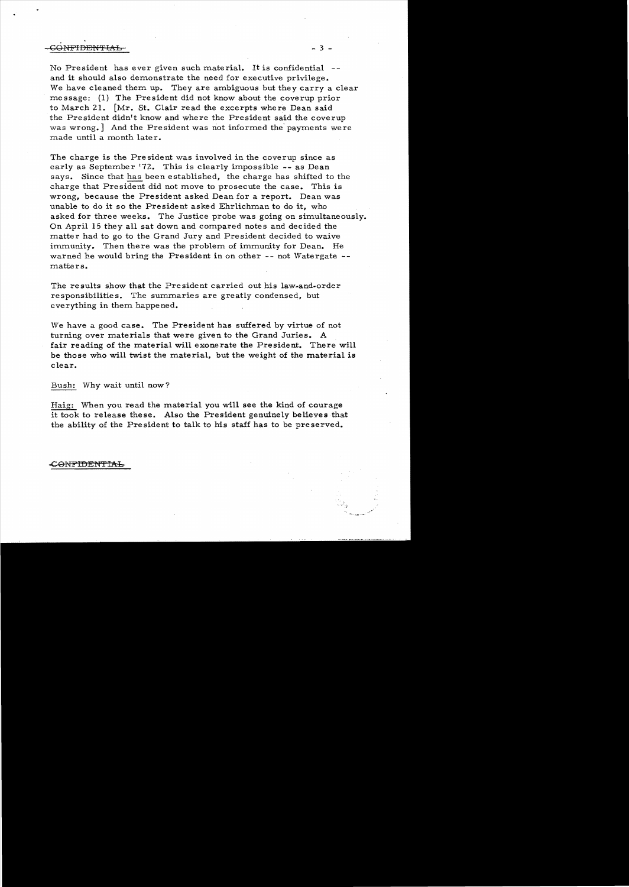# - SOLUTION CONFIDENTIAL

No President has ever given such material. It is confidential and it should also demonstrate the need for executive privilege. We have cleaned them up. They are ambiguous but they carry a clear me ssage: (1) The President did not know about the coverup prior to March 21. [Mr. St. Clair read the excerpts where Dean said the President didn't know and where the President said the coverup was wrong.] And the President was not informed the' payments were made until a month later.

The charge is the, President was involved in the coverup since as early as September 172. This is clearly impossible -- as Dean says. Since that has been established, the charge has shifted to the charge that President did not move to prosecute the case. This is wrong, because the President asked Dean for a report. Dean was unable to do it so the President asked Ehrlichman to do it, who asked for three weeks. The Justice probe was going on simultaneously. On April 15 they all sat down and compared notes and decided the matter had to go to the Grand Jury and President decided to waive immunity. Then there was the problem of immunity for Dean. He warned he would bring the President in on other -- not Watergate matters.

The results show that the President carried out his law-and-order responsibilities. The summaries are greatly condensed, but everything in them happened.

We have a good case. The President has suffered by virtue of not turning over materials that were given to the Grand Juries. A fair reading of the material will exonerate the President. There will be those who will twist the material, but the weight of the material is clear.

Bush: Why wait until now?

Haig: When you read the material you will see the kind of courage it took to release these. Also the President genuinely believes that the ability of the President to talk to his staff has to be preserved.

### <del>.</del>(ONFIDENTIAL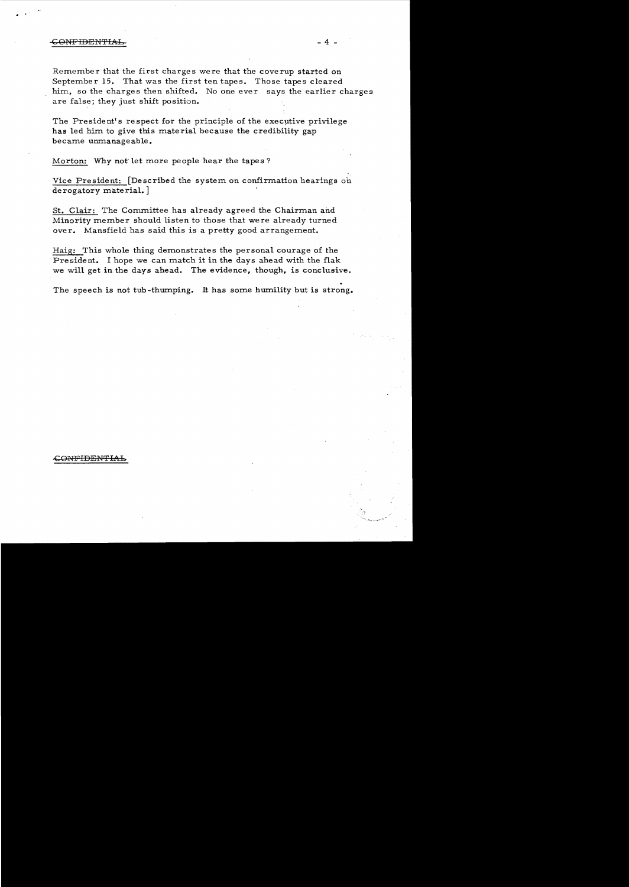### GONFIDEN'FIAb- - 4

 $\epsilon$  .  $\epsilon$  .

Remember that the first charges were that the coverup started on September 15. That was the first ten tapes. Those tapes cleared him, so the charges then shifted. No one ever says the earlier charges are false; they just shift position.

The President's respect for the principle of the executive privilege has led him to give this material because the credibility gap became unmanageable.

Morton: Why not'let more people hear the tapes?

Vice President: [Described the system on confirmation hearings on derogatory material.]

St. Clair: The Committee has already agreed the Chairman and Minority member should listen to those that were already turned over. Mansfield has said this is a pretty good arrangement.

Haig: This whole thing demonstrates the personal courage of the President. I hope we can match it in the days ahead with the flak we will get in the days ahead. The evidence, though, is conclusive.

The speech is not tub-thumping. It has some humility but is strong.

### ~O~¢FIDENTIAh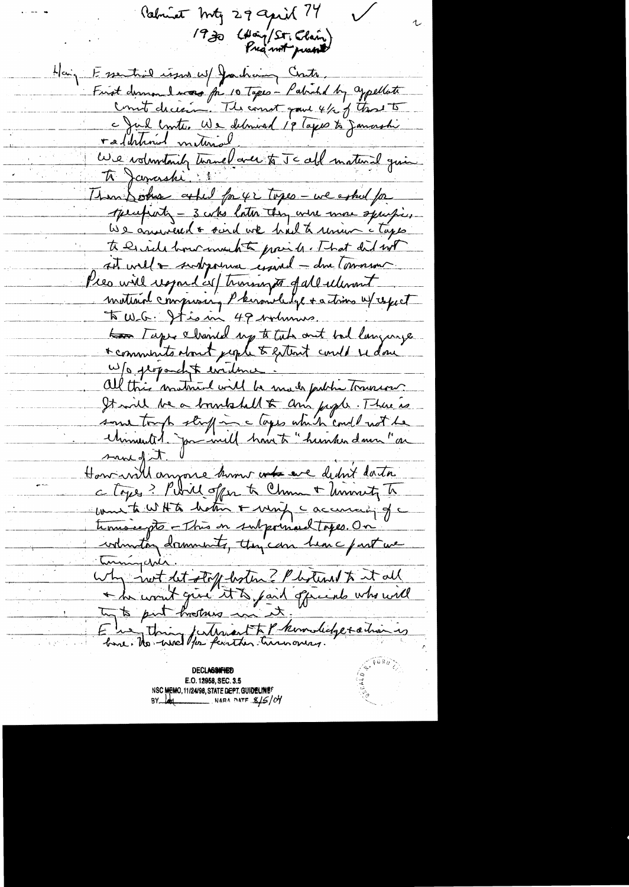Palment Mty 29 april 74 1930 (Hong/St. Claim) Haiz Essential issue w/ Jacham Cente First demander des for 10 Tapes - Patrick by appellate raddrhoid meternal rasurement meural avec to Jc all material qui Ti Janashi : Than Soons asked for 42 topes - we asked for specificati - 3 who later they were more specificos We assumed a sind we had to union a tapper to be ride how much to praise That did not att will a sundsportive essaved - due Comment Pies will respond as training of all returnit mattain compressing Phermelelge + actions u/ repect to Tape channel up to take out but language \* comments start jeple to extent could re done W/a proponcht evidence. all this mathial will be made faither trainers It will be a boundard to any jugar. There is some tough stuff in a loyer which could not be<br>Minimulit paramill have to "hunder down" are sund of it. How will anyone kim was eve debut data c Lopes? Pubil offer to China + University To commenta WHITA hatin + ming caccuracy of c tinnaiegts - This in subportant topes. On why not let stoff both ? Photens & it all E ha thing futurent to Phondidge sation is

**DECLASSIFIED** E.O. 12958, SEC. 3.5 NSC MEMO, 11/24/98, STATE DEPT. GUIDELINE? BY 101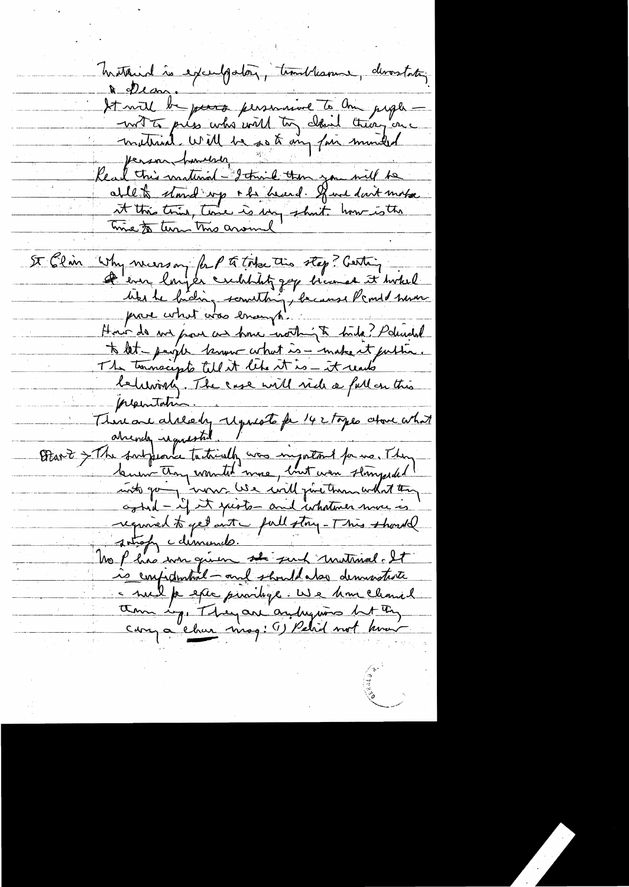Instand is exceedgaton, timelisme, devostating A pear. A execut de pours personnire à me pages Read this material - I think then you will be ablet stand up + he heard. Have don't moke it this this, time is my short how is the me to turn this around St Elin Why necessary for P to today they? Gerting <del>D</del>'ern longer crebblitz zap bicanal it hokel bites le biding something, because l'amid mour Hour de me pour car pour montingte tide? Paludel to let people terme what is - make it puttin. The terminaryte till it lets it is - it rents letting, The case will rich a full on this presentation. There are already requests for 142 topes above what alrendy requested. I Otanit > The fortpeorer tactically was important for mo. They buen Any wonter me, luit was stringedel required to get out full story - This should no p his wer queen se put matinal. It is confidential - and should also demissione - nul p este puvilige. We have leaved cary a char virag: (1) Petid not know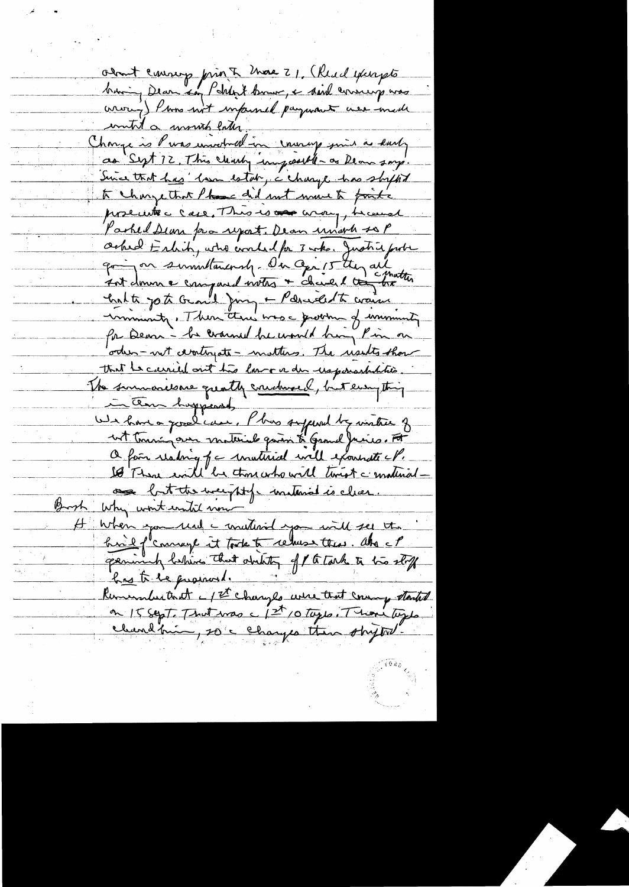about coursep print those 21. (Read excepts buring Dearn kay Pakkert burner, & said commung was were ) Para not impersed payment were made initid a winish later. Change is Purs universal in causey min as karly as Sept 12. This clearly impossible as Ream sorry Since that has ' losa estat, a charge has ship tot to change that these did not must faite proceeds are, This is one way, he was Parked Dean pro report. Dean unach sop Oched Eshih, who would for 3 who. Justice from going on summittenements. On april they all 7 nt domne compared votes + chaire & commetter Crite jot Grand Jung - Pdrucht warm inniminity. Then there was a growth of unminute for Dear - he crouned he would him Pin on ortus - not devotiyate - motters. The usets thou that is carried out this low or der usponsshitatio. The summonesare quality conduced, but everything in them happened, We have a possibilité : l'bus supervel by visiter of wit touring over moternal quan & Grand Juice. For O fois reading of a unativid will extremate all. 18 There will be thou who will timet a material as but the weight of instand is clear. Brook Why wont until now  $\overline{\mu}$ When you read a material you will see the geminal behind that ability of 1 to tark to bis stoff has to be promoted. Remember that I TT changes were that coming started on 15 sept. That was a 1st 10 tops. There tops chardinin, 20 c changes than shytot.